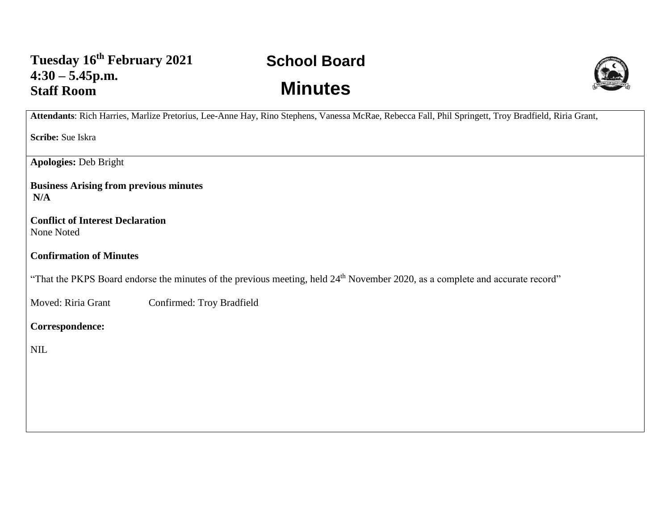## **School Board Minutes**



**Attendants**: Rich Harries, Marlize Pretorius, Lee-Anne Hay, Rino Stephens, Vanessa McRae, Rebecca Fall, Phil Springett, Troy Bradfield, Riria Grant,

**Scribe:** Sue Iskra

**Apologies:** Deb Bright

**Business Arising from previous minutes N/A**

**Conflict of Interest Declaration** None Noted

**Confirmation of Minutes** 

"That the PKPS Board endorse the minutes of the previous meeting, held 24<sup>th</sup> November 2020, as a complete and accurate record"

Moved: Riria Grant Confirmed: Troy Bradfield

**Correspondence:** 

NIL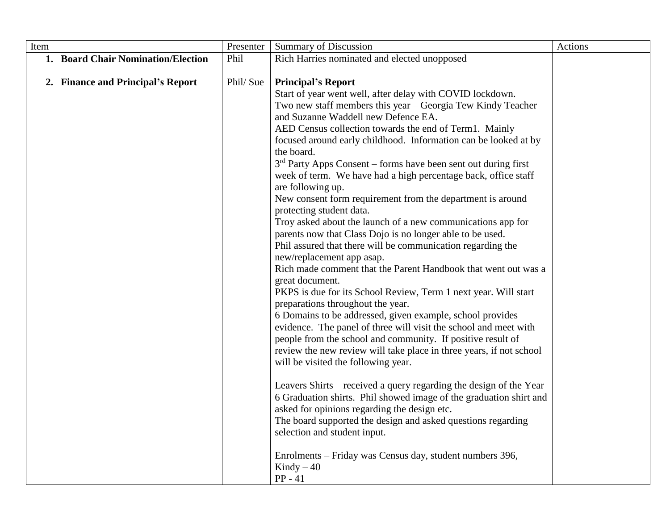| Item |                                    | Presenter | <b>Summary of Discussion</b>                                                                                                                                                                                                                                                                                                                                                                                                                                                                                                                                                                                                                                                                                                                                                                                                                                                                                                                                                                                                                                                                                                                                                                                                                                                                                                                                                                                                                                                                                                                                                                                                                                                            | Actions |
|------|------------------------------------|-----------|-----------------------------------------------------------------------------------------------------------------------------------------------------------------------------------------------------------------------------------------------------------------------------------------------------------------------------------------------------------------------------------------------------------------------------------------------------------------------------------------------------------------------------------------------------------------------------------------------------------------------------------------------------------------------------------------------------------------------------------------------------------------------------------------------------------------------------------------------------------------------------------------------------------------------------------------------------------------------------------------------------------------------------------------------------------------------------------------------------------------------------------------------------------------------------------------------------------------------------------------------------------------------------------------------------------------------------------------------------------------------------------------------------------------------------------------------------------------------------------------------------------------------------------------------------------------------------------------------------------------------------------------------------------------------------------------|---------|
|      | 1. Board Chair Nomination/Election | Phil      | Rich Harries nominated and elected unopposed                                                                                                                                                                                                                                                                                                                                                                                                                                                                                                                                                                                                                                                                                                                                                                                                                                                                                                                                                                                                                                                                                                                                                                                                                                                                                                                                                                                                                                                                                                                                                                                                                                            |         |
|      | 2. Finance and Principal's Report  | Phil/Sue  | <b>Principal's Report</b><br>Start of year went well, after delay with COVID lockdown.<br>Two new staff members this year – Georgia Tew Kindy Teacher<br>and Suzanne Waddell new Defence EA.<br>AED Census collection towards the end of Term1. Mainly<br>focused around early childhood. Information can be looked at by<br>the board.<br>$3rd$ Party Apps Consent – forms have been sent out during first<br>week of term. We have had a high percentage back, office staff<br>are following up.<br>New consent form requirement from the department is around<br>protecting student data.<br>Troy asked about the launch of a new communications app for<br>parents now that Class Dojo is no longer able to be used.<br>Phil assured that there will be communication regarding the<br>new/replacement app asap.<br>Rich made comment that the Parent Handbook that went out was a<br>great document.<br>PKPS is due for its School Review, Term 1 next year. Will start<br>preparations throughout the year.<br>6 Domains to be addressed, given example, school provides<br>evidence. The panel of three will visit the school and meet with<br>people from the school and community. If positive result of<br>review the new review will take place in three years, if not school<br>will be visited the following year.<br>Leavers Shirts – received a query regarding the design of the Year<br>6 Graduation shirts. Phil showed image of the graduation shirt and<br>asked for opinions regarding the design etc.<br>The board supported the design and asked questions regarding<br>selection and student input.<br>Enrolments – Friday was Census day, student numbers 396, |         |
|      |                                    |           | Kindy $-40$<br>$PP - 41$                                                                                                                                                                                                                                                                                                                                                                                                                                                                                                                                                                                                                                                                                                                                                                                                                                                                                                                                                                                                                                                                                                                                                                                                                                                                                                                                                                                                                                                                                                                                                                                                                                                                |         |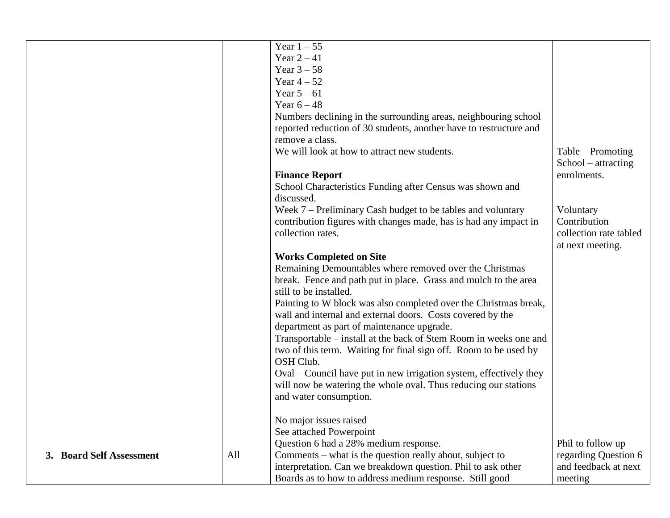|                          |     | Year $1-55$                                                        |                        |
|--------------------------|-----|--------------------------------------------------------------------|------------------------|
|                          |     | Year $2-41$                                                        |                        |
|                          |     | Year $3 - 58$                                                      |                        |
|                          |     | Year $4-52$                                                        |                        |
|                          |     | Year $5-61$                                                        |                        |
|                          |     | Year $6-48$                                                        |                        |
|                          |     | Numbers declining in the surrounding areas, neighbouring school    |                        |
|                          |     | reported reduction of 30 students, another have to restructure and |                        |
|                          |     | remove a class.                                                    |                        |
|                          |     | We will look at how to attract new students.                       | Table – Promoting      |
|                          |     |                                                                    | $School - attracting$  |
|                          |     | <b>Finance Report</b>                                              | enrolments.            |
|                          |     | School Characteristics Funding after Census was shown and          |                        |
|                          |     | discussed.                                                         |                        |
|                          |     | Week 7 – Preliminary Cash budget to be tables and voluntary        | Voluntary              |
|                          |     | contribution figures with changes made, has is had any impact in   | Contribution           |
|                          |     | collection rates.                                                  | collection rate tabled |
|                          |     |                                                                    | at next meeting.       |
|                          |     | <b>Works Completed on Site</b>                                     |                        |
|                          |     | Remaining Demountables where removed over the Christmas            |                        |
|                          |     | break. Fence and path put in place. Grass and mulch to the area    |                        |
|                          |     | still to be installed.                                             |                        |
|                          |     | Painting to W block was also completed over the Christmas break,   |                        |
|                          |     | wall and internal and external doors. Costs covered by the         |                        |
|                          |     | department as part of maintenance upgrade.                         |                        |
|                          |     | Transportable – install at the back of Stem Room in weeks one and  |                        |
|                          |     | two of this term. Waiting for final sign off. Room to be used by   |                        |
|                          |     | OSH Club.                                                          |                        |
|                          |     | Oval – Council have put in new irrigation system, effectively they |                        |
|                          |     | will now be watering the whole oval. Thus reducing our stations    |                        |
|                          |     | and water consumption.                                             |                        |
|                          |     |                                                                    |                        |
|                          |     | No major issues raised                                             |                        |
|                          |     | See attached Powerpoint                                            |                        |
|                          |     | Question 6 had a 28% medium response.                              | Phil to follow up      |
| 3. Board Self Assessment | All | Comments - what is the question really about, subject to           | regarding Question 6   |
|                          |     | interpretation. Can we breakdown question. Phil to ask other       | and feedback at next   |
|                          |     | Boards as to how to address medium response. Still good            | meeting                |